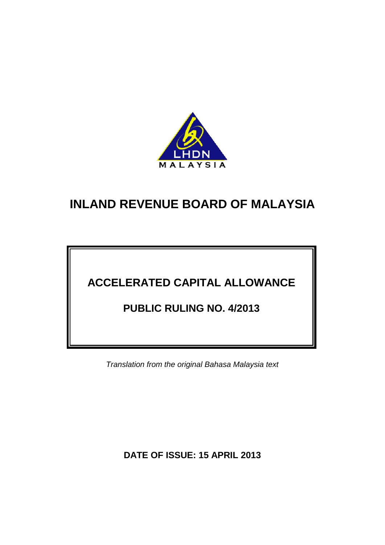

# **ACCELERATED CAPITAL ALLOWANCE**

# **PUBLIC RULING NO. 4/2013**

*Translation from the original Bahasa Malaysia text*

**DATE OF ISSUE: 15 APRIL 2013**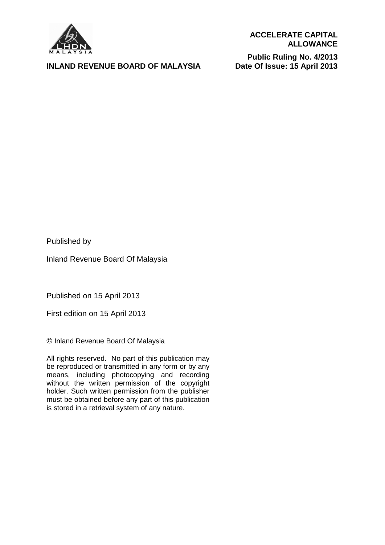

#### **INLAND REVENUE BOARD OF MALAYSIA**

**Public Ruling No. 4/2013 Date Of Issue: 15 April 2013**

Published by

Inland Revenue Board Of Malaysia

Published on 15 April 2013

First edition on 15 April 2013

© Inland Revenue Board Of Malaysia

All rights reserved. No part of this publication may be reproduced or transmitted in any form or by any means, including photocopying and recording without the written permission of the copyright holder. Such written permission from the publisher must be obtained before any part of this publication is stored in a retrieval system of any nature.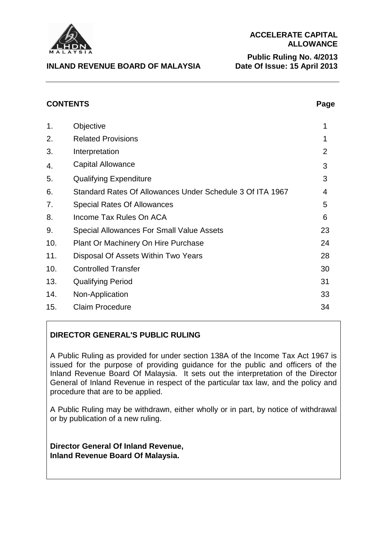

**INLAND REVENUE BOARD OF MALAYSIA**

**Public Ruling No. 4/2013 Date Of Issue: 15 April 2013**

# **CONTENTS** Page

| 1.  | Objective                                                 | 1  |
|-----|-----------------------------------------------------------|----|
| 2.  | <b>Related Provisions</b>                                 | 1  |
| 3.  | Interpretation                                            | 2  |
| 4.  | Capital Allowance                                         | 3  |
| 5.  | <b>Qualifying Expenditure</b>                             | 3  |
| 6.  | Standard Rates Of Allowances Under Schedule 3 Of ITA 1967 | 4  |
| 7.  | <b>Special Rates Of Allowances</b>                        | 5  |
| 8.  | Income Tax Rules On ACA                                   | 6  |
| 9.  | Special Allowances For Small Value Assets                 | 23 |
| 10. | Plant Or Machinery On Hire Purchase                       | 24 |
| 11. | Disposal Of Assets Within Two Years                       | 28 |
| 10. | <b>Controlled Transfer</b>                                | 30 |
| 13. | <b>Qualifying Period</b>                                  | 31 |
| 14. | Non-Application                                           | 33 |
| 15. | <b>Claim Procedure</b>                                    | 34 |

# **DIRECTOR GENERAL'S PUBLIC RULING**

A Public Ruling as provided for under section 138A of the Income Tax Act 1967 is issued for the purpose of providing guidance for the public and officers of the Inland Revenue Board Of Malaysia. It sets out the interpretation of the Director General of Inland Revenue in respect of the particular tax law, and the policy and procedure that are to be applied.

A Public Ruling may be withdrawn, either wholly or in part, by notice of withdrawal or by publication of a new ruling.

**Director General Of Inland Revenue, Inland Revenue Board Of Malaysia.**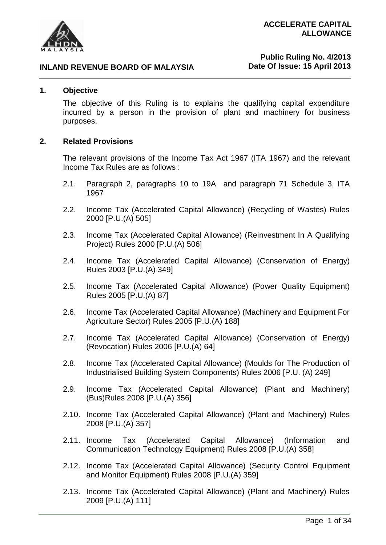

#### **1. Objective**

The objective of this Ruling is to explains the qualifying capital expenditure incurred by a person in the provision of plant and machinery for business purposes.

#### **2. Related Provisions**

The relevant provisions of the Income Tax Act 1967 (ITA 1967) and the relevant Income Tax Rules are as follows :

- 2.1. Paragraph 2, paragraphs 10 to 19A and paragraph 71 Schedule 3, ITA 1967
- 2.2. Income Tax (Accelerated Capital Allowance) (Recycling of Wastes) Rules 2000 [P.U.(A) 505]
- 2.3. Income Tax (Accelerated Capital Allowance) (Reinvestment In A Qualifying Project) Rules 2000 [P.U.(A) 506]
- 2.4. Income Tax (Accelerated Capital Allowance) (Conservation of Energy) Rules 2003 [P.U.(A) 349]
- 2.5. Income Tax (Accelerated Capital Allowance) (Power Quality Equipment) Rules 2005 [P.U.(A) 87]
- 2.6. Income Tax (Accelerated Capital Allowance) (Machinery and Equipment For Agriculture Sector) Rules 2005 [P.U.(A) 188]
- 2.7. Income Tax (Accelerated Capital Allowance) (Conservation of Energy) (Revocation) Rules 2006 [P.U.(A) 64]
- 2.8. Income Tax (Accelerated Capital Allowance) (Moulds for The Production of Industrialised Building System Components) Rules 2006 [P.U. (A) 249]
- 2.9. Income Tax (Accelerated Capital Allowance) (Plant and Machinery) (Bus)Rules 2008 [P.U.(A) 356]
- 2.10. Income Tax (Accelerated Capital Allowance) (Plant and Machinery) Rules 2008 [P.U.(A) 357]
- 2.11. Income Tax (Accelerated Capital Allowance) (Information and Communication Technology Equipment) Rules 2008 [P.U.(A) 358]
- 2.12. Income Tax (Accelerated Capital Allowance) (Security Control Equipment and Monitor Equipment) Rules 2008 [P.U.(A) 359]
- 2.13. Income Tax (Accelerated Capital Allowance) (Plant and Machinery) Rules 2009 [P.U.(A) 111]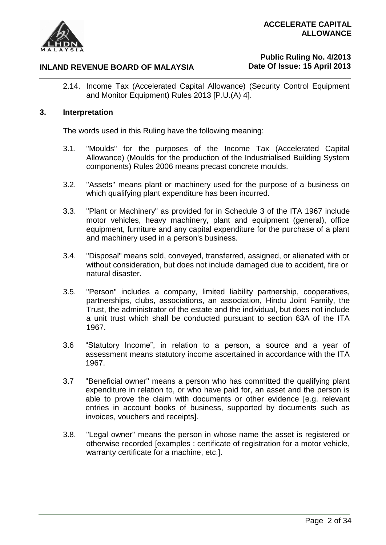

# **Public Ruling No. 4/2013 Date Of Issue: 15 April 2013**

2.14. Income Tax (Accelerated Capital Allowance) (Security Control Equipment and Monitor Equipment) Rules 2013 [P.U.(A) 4].

#### **3. Interpretation**

The words used in this Ruling have the following meaning:

- 3.1. "Moulds" for the purposes of the Income Tax (Accelerated Capital Allowance) (Moulds for the production of the Industrialised Building System components) Rules 2006 means precast concrete moulds.
- 3.2. "Assets" means plant or machinery used for the purpose of a business on which qualifying plant expenditure has been incurred.
- 3.3. "Plant or Machinery" as provided for in Schedule 3 of the ITA 1967 include motor vehicles, heavy machinery, plant and equipment (general), office equipment, furniture and any capital expenditure for the purchase of a plant and machinery used in a person's business.
- 3.4. "Disposal" means sold, conveyed, transferred, assigned, or alienated with or without consideration, but does not include damaged due to accident, fire or natural disaster.
- 3.5. "Person" includes a company, limited liability partnership, cooperatives, partnerships, clubs, associations, an association, Hindu Joint Family, the Trust, the administrator of the estate and the individual, but does not include a unit trust which shall be conducted pursuant to section 63A of the ITA 1967.
- 3.6 "Statutory Income", in relation to a person, a source and a year of assessment means statutory income ascertained in accordance with the ITA 1967.
- 3.7 "Beneficial owner" means a person who has committed the qualifying plant expenditure in relation to, or who have paid for, an asset and the person is able to prove the claim with documents or other evidence [e.g. relevant entries in account books of business, supported by documents such as invoices, vouchers and receipts].
- 3.8. "Legal owner" means the person in whose name the asset is registered or otherwise recorded [examples : certificate of registration for a motor vehicle, warranty certificate for a machine, etc.].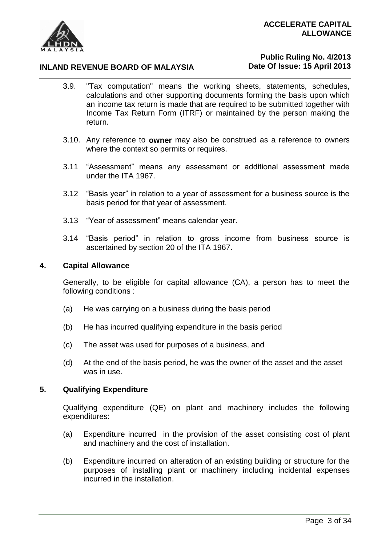

# **Public Ruling No. 4/2013 Date Of Issue: 15 April 2013**

- 3.9. "Tax computation" means the working sheets, statements, schedules, calculations and other supporting documents forming the basis upon which an income tax return is made that are required to be submitted together with Income Tax Return Form (ITRF) or maintained by the person making the return.
- 3.10. Any reference to **owner** may also be construed as a reference to owners where the context so permits or requires.
- 3.11 "Assessment" means any assessment or additional assessment made under the ITA 1967.
- 3.12 "Basis year" in relation to a year of assessment for a business source is the basis period for that year of assessment.
- 3.13 "Year of assessment" means calendar year.
- 3.14 "Basis period" in relation to gross income from business source is ascertained by section 20 of the ITA 1967.

#### **4. Capital Allowance**

Generally, to be eligible for capital allowance (CA), a person has to meet the following conditions :

- (a) He was carrying on a business during the basis period
- (b) He has incurred qualifying expenditure in the basis period
- (c) The asset was used for purposes of a business, and
- (d) At the end of the basis period, he was the owner of the asset and the asset was in use.

#### **5. Qualifying Expenditure**

Qualifying expenditure (QE) on plant and machinery includes the following expenditures:

- (a) Expenditure incurred in the provision of the asset consisting cost of plant and machinery and the cost of installation.
- (b) Expenditure incurred on alteration of an existing building or structure for the purposes of installing plant or machinery including incidental expenses incurred in the installation.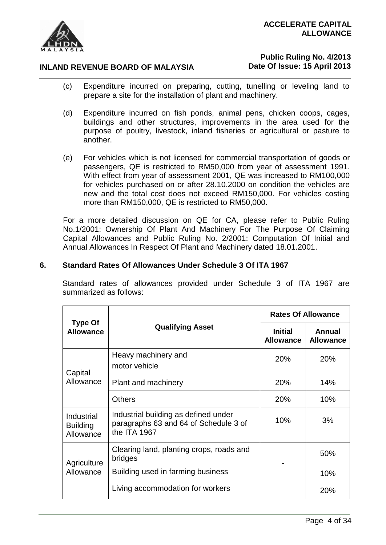

# **Public Ruling No. 4/2013 Date Of Issue: 15 April 2013**

- (c) Expenditure incurred on preparing, cutting, tunelling or leveling land to prepare a site for the installation of plant and machinery.
- (d) Expenditure incurred on fish ponds, animal pens, chicken coops, cages, buildings and other structures, improvements in the area used for the purpose of poultry, livestock, inland fisheries or agricultural or pasture to another.
- (e) For vehicles which is not licensed for commercial transportation of goods or passengers, QE is restricted to RM50,000 from year of assessment 1991. With effect from year of assessment 2001, QE was increased to RM100,000 for vehicles purchased on or after 28.10.2000 on condition the vehicles are new and the total cost does not exceed RM150,000. For vehicles costing more than RM150,000, QE is restricted to RM50,000.

For a more detailed discussion on QE for CA, please refer to Public Ruling No.1/2001: Ownership Of Plant And Machinery For The Purpose Of Claiming Capital Allowances and Public Ruling No. 2/2001: Computation Of Initial and Annual Allowances In Respect Of Plant and Machinery dated 18.01.2001.

# **6. Standard Rates Of Allowances Under Schedule 3 Of ITA 1967**

Standard rates of allowances provided under Schedule 3 of ITA 1967 are summarized as follows:

|                                            |                                                                                               | <b>Rates Of Allowance</b>          |                            |
|--------------------------------------------|-----------------------------------------------------------------------------------------------|------------------------------------|----------------------------|
| <b>Type Of</b><br><b>Allowance</b>         | <b>Qualifying Asset</b>                                                                       | <b>Initial</b><br><b>Allowance</b> | Annual<br><b>Allowance</b> |
| Capital                                    | Heavy machinery and<br>motor vehicle                                                          | 20%                                | 20%                        |
| Allowance                                  | Plant and machinery                                                                           | 20%                                | 14%                        |
|                                            | Others                                                                                        | <b>20%</b>                         | 10%                        |
| Industrial<br><b>Building</b><br>Allowance | Industrial building as defined under<br>paragraphs 63 and 64 of Schedule 3 of<br>the ITA 1967 | 10%                                | 3%                         |
| Agriculture                                | Clearing land, planting crops, roads and<br>bridges                                           |                                    | 50%                        |
| Allowance                                  | Building used in farming business                                                             |                                    | 10%                        |
|                                            | Living accommodation for workers                                                              |                                    | 20%                        |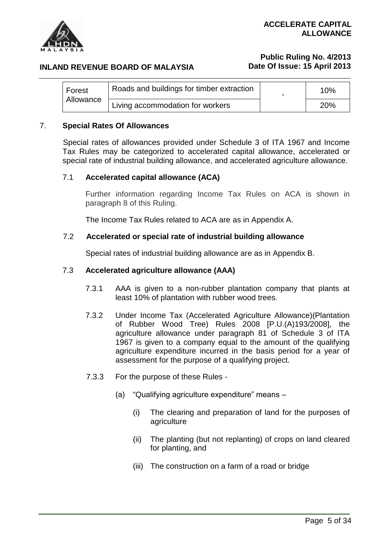

#### **INLAND REVENUE BOARD OF MALAYSIA**

# **Public Ruling No. 4/2013 Date Of Issue: 15 April 2013**

| Forest<br>Allowance | Roads and buildings for timber extraction | 10% |
|---------------------|-------------------------------------------|-----|
|                     | Living accommodation for workers          | 20% |

#### 7. **Special Rates Of Allowances**

Special rates of allowances provided under Schedule 3 of ITA 1967 and Income Tax Rules may be categorized to accelerated capital allowance, accelerated or special rate of industrial building allowance, and accelerated agriculture allowance.

#### 7.1 **Accelerated capital allowance (ACA)**

Further information regarding Income Tax Rules on ACA is shown in paragraph 8 of this Ruling.

The Income Tax Rules related to ACA are as in Appendix A.

#### 7.2 **Accelerated or special rate of industrial building allowance**

Special rates of industrial building allowance are as in Appendix B.

#### 7.3 **Accelerated agriculture allowance (AAA)**

- 7.3.1 AAA is given to a non-rubber plantation company that plants at least 10% of plantation with rubber wood trees.
- 7.3.2 Under Income Tax (Accelerated Agriculture Allowance)(Plantation of Rubber Wood Tree) Rules 2008 [P.U.(A)193/2008], the agriculture allowance under paragraph 81 of Schedule 3 of ITA 1967 is given to a company equal to the amount of the qualifying agriculture expenditure incurred in the basis period for a year of assessment for the purpose of a qualifying project.
- 7.3.3 For the purpose of these Rules
	- (a) "Qualifying agriculture expenditure" means
		- (i) The clearing and preparation of land for the purposes of agriculture
		- (ii) The planting (but not replanting) of crops on land cleared for planting, and
		- (iii) The construction on a farm of a road or bridge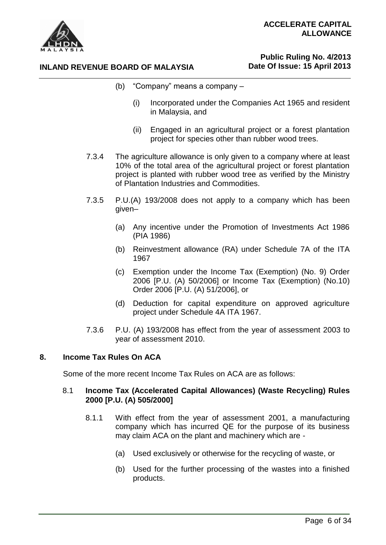

# **Public Ruling No. 4/2013 Date Of Issue: 15 April 2013**

- (b) "Company" means a company
	- (i) Incorporated under the Companies Act 1965 and resident in Malaysia, and
	- (ii) Engaged in an agricultural project or a forest plantation project for species other than rubber wood trees.
- 7.3.4 The agriculture allowance is only given to a company where at least 10% of the total area of the agricultural project or forest plantation project is planted with rubber wood tree as verified by the Ministry of Plantation Industries and Commodities.
- 7.3.5 P.U.(A) 193/2008 does not apply to a company which has been given–
	- (a) Any incentive under the Promotion of Investments Act 1986 (PIA 1986)
	- (b) Reinvestment allowance (RA) under Schedule 7A of the ITA 1967
	- (c) Exemption under the Income Tax (Exemption) (No. 9) Order 2006 [P.U. (A) 50/2006] or Income Tax (Exemption) (No.10) Order 2006 [P.U. (A) 51/2006], or
	- (d) Deduction for capital expenditure on approved agriculture project under Schedule 4A ITA 1967.
- 7.3.6 P.U. (A) 193/2008 has effect from the year of assessment 2003 to year of assessment 2010.

# **8. Income Tax Rules On ACA**

Some of the more recent Income Tax Rules on ACA are as follows:

# 8.1 **Income Tax (Accelerated Capital Allowances) (Waste Recycling) Rules 2000 [P.U. (A) 505/2000]**

- 8.1.1 With effect from the year of assessment 2001, a manufacturing company which has incurred QE for the purpose of its business may claim ACA on the plant and machinery which are -
	- (a) Used exclusively or otherwise for the recycling of waste, or
	- (b) Used for the further processing of the wastes into a finished products.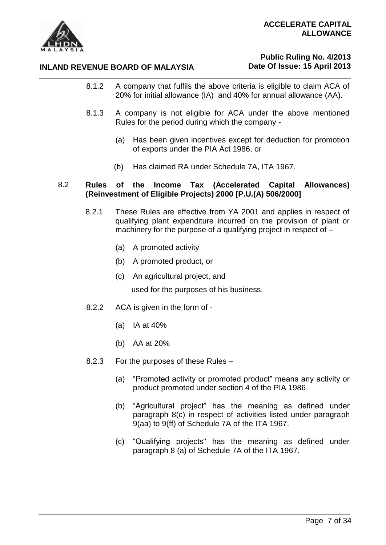

# **Public Ruling No. 4/2013 Date Of Issue: 15 April 2013**

- 8.1.2 A company that fulfils the above criteria is eligible to claim ACA of 20% for initial allowance (IA) and 40% for annual allowance (AA).
- 8.1.3 A company is not eligible for ACA under the above mentioned Rules for the period during which the company -
	- (a) Has been given incentives except for deduction for promotion of exports under the PIA Act 1986, or
	- (b) Has claimed RA under Schedule 7A, ITA 1967.

#### 8.2 **Rules of the Income Tax (Accelerated Capital Allowances) (Reinvestment of Eligible Projects) 2000 [P.U.(A) 506/2000]**

- 8.2.1 These Rules are effective from YA 2001 and applies in respect of qualifying plant expenditure incurred on the provision of plant or machinery for the purpose of a qualifying project in respect of –
	- (a) A promoted activity
	- (b) A promoted product, or
	- (c) An agricultural project, and used for the purposes of his business.
- 8.2.2 ACA is given in the form of
	- (a) IA at 40%
	- (b) AA at 20%
- 8.2.3 For the purposes of these Rules
	- (a) "Promoted activity or promoted product" means any activity or product promoted under section 4 of the PIA 1986.
	- (b) "Agricultural project" has the meaning as defined under paragraph 8(c) in respect of activities listed under paragraph 9(aa) to 9(ff) of Schedule 7A of the ITA 1967.
	- (c) "Qualifying projects" has the meaning as defined under paragraph 8 (a) of Schedule 7A of the ITA 1967.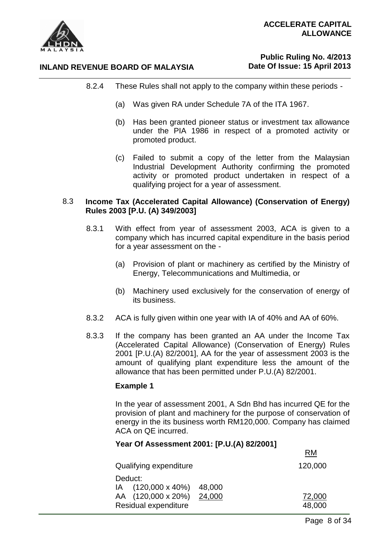

# **Public Ruling No. 4/2013 Date Of Issue: 15 April 2013**

- 8.2.4 These Rules shall not apply to the company within these periods
	- (a) Was given RA under Schedule 7A of the ITA 1967.
	- (b) Has been granted pioneer status or investment tax allowance under the PIA 1986 in respect of a promoted activity or promoted product.
	- (c) Failed to submit a copy of the letter from the Malaysian Industrial Development Authority confirming the promoted activity or promoted product undertaken in respect of a qualifying project for a year of assessment.

#### 8.3 **Income Tax (Accelerated Capital Allowance) (Conservation of Energy) Rules 2003 [P.U. (A) 349/2003]**

- 8.3.1 With effect from year of assessment 2003, ACA is given to a company which has incurred capital expenditure in the basis period for a year assessment on the -
	- (a) Provision of plant or machinery as certified by the Ministry of Energy, Telecommunications and Multimedia, or
	- (b) Machinery used exclusively for the conservation of energy of its business.
- 8.3.2 ACA is fully given within one year with IA of 40% and AA of 60%.
- 8.3.3 If the company has been granted an AA under the Income Tax (Accelerated Capital Allowance) (Conservation of Energy) Rules 2001 [P.U.(A) 82/2001], AA for the year of assessment 2003 is the amount of qualifying plant expenditure less the amount of the allowance that has been permitted under P.U.(A) 82/2001.

# **Example 1**

In the year of assessment 2001, A Sdn Bhd has incurred QE for the provision of plant and machinery for the purpose of conservation of energy in the its business worth RM120,000. Company has claimed ACA on QE incurred.

#### **Year Of Assessment 2001: [P.U.(A) 82/2001]**

| Qualifying expenditure         | 120,000 |
|--------------------------------|---------|
| Deduct:                        |         |
| $IA$ (120,000 x 40%)<br>48,000 |         |
| AA (120,000 x 20%)<br>24,000   | 72,000  |
| Residual expenditure           | 48,000  |

RM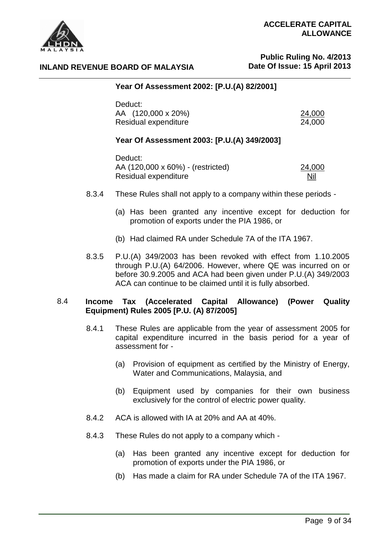



# **Public Ruling No. 4/2013 Date Of Issue: 15 April 2013**

#### **INLAND REVENUE BOARD OF MALAYSIA**

# **Year Of Assessment 2002: [P.U.(A) 82/2001]**

| Deduct:              |        |
|----------------------|--------|
| AA (120,000 x 20%)   | 24,000 |
| Residual expenditure | 24,000 |

#### **Year Of Assessment 2003: [P.U.(A) 349/2003]**

Deduct: AA (120,000 x 60%) - (restricted) 24,000 Residual expenditure Nil

- 8.3.4 These Rules shall not apply to a company within these periods
	- (a) Has been granted any incentive except for deduction for promotion of exports under the PIA 1986, or
	- (b) Had claimed RA under Schedule 7A of the ITA 1967.
- 8.3.5 P.U.(A) 349/2003 has been revoked with effect from 1.10.2005 through P.U.(A) 64/2006. However, where QE was incurred on or before 30.9.2005 and ACA had been given under P.U.(A) 349/2003 ACA can continue to be claimed until it is fully absorbed.

#### 8.4 **Income Tax (Accelerated Capital Allowance) (Power Quality Equipment) Rules 2005 [P.U. (A) 87/2005]**

- 8.4.1 These Rules are applicable from the year of assessment 2005 for capital expenditure incurred in the basis period for a year of assessment for -
	- (a) Provision of equipment as certified by the Ministry of Energy, Water and Communications, Malaysia, and
	- (b) Equipment used by companies for their own business exclusively for the control of electric power quality.
- 8.4.2 ACA is allowed with IA at 20% and AA at 40%.
- 8.4.3 These Rules do not apply to a company which
	- (a) Has been granted any incentive except for deduction for promotion of exports under the PIA 1986, or
	- (b) Has made a claim for RA under Schedule 7A of the ITA 1967.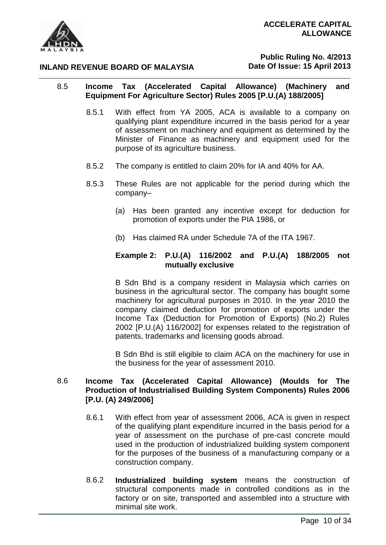

# **Public Ruling No. 4/2013 Date Of Issue: 15 April 2013**

# 8.5 **Income Tax (Accelerated Capital Allowance) (Machinery and Equipment For Agriculture Sector) Rules 2005 [P.U.(A) 188/2005]**

- 8.5.1 With effect from YA 2005, ACA is available to a company on qualifying plant expenditure incurred in the basis period for a year of assessment on machinery and equipment as determined by the Minister of Finance as machinery and equipment used for the purpose of its agriculture business.
- 8.5.2 The company is entitled to claim 20% for IA and 40% for AA.
- 8.5.3 These Rules are not applicable for the period during which the company–
	- (a) Has been granted any incentive except for deduction for promotion of exports under the PIA 1986, or
	- (b) Has claimed RA under Schedule 7A of the ITA 1967.

# **Example 2: P.U.(A) 116/2002 and P.U.(A) 188/2005 not mutually exclusive**

B Sdn Bhd is a company resident in Malaysia which carries on business in the agricultural sector. The company has bought some machinery for agricultural purposes in 2010. In the year 2010 the company claimed deduction for promotion of exports under the Income Tax (Deduction for Promotion of Exports) (No.2) Rules 2002 [P.U.(A) 116/2002] for expenses related to the registration of patents, trademarks and licensing goods abroad.

B Sdn Bhd is still eligible to claim ACA on the machinery for use in the business for the year of assessment 2010.

# 8.6 **Income Tax (Accelerated Capital Allowance) (Moulds for The Production of Industrialised Building System Components) Rules 2006 [P.U. (A) 249/2006]**

- 8.6.1 With effect from year of assessment 2006, ACA is given in respect of the qualifying plant expenditure incurred in the basis period for a year of assessment on the purchase of pre-cast concrete mould used in the production of industrialized building system component for the purposes of the business of a manufacturing company or a construction company.
- 8.6.2 **Industrialized building system** means the construction of structural components made in controlled conditions as in the factory or on site, transported and assembled into a structure with minimal site work.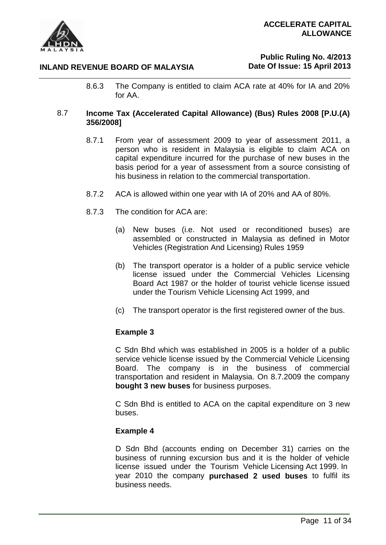# **Public Ruling No. 4/2013 Date Of Issue: 15 April 2013**

8.6.3 The Company is entitled to claim ACA rate at 40% for IA and 20% for AA.

# 8.7 **Income Tax (Accelerated Capital Allowance) (Bus) Rules 2008 [P.U.(A) 356/2008]**

- 8.7.1 From year of assessment 2009 to year of assessment 2011, a person who is resident in Malaysia is eligible to claim ACA on capital expenditure incurred for the purchase of new buses in the basis period for a year of assessment from a source consisting of his business in relation to the commercial transportation.
- 8.7.2 ACA is allowed within one year with IA of 20% and AA of 80%.
- 8.7.3 The condition for ACA are:
	- (a) New buses (i.e. Not used or reconditioned buses) are assembled or constructed in Malaysia as defined in Motor Vehicles (Registration And Licensing) Rules 1959
	- (b) The transport operator is a holder of a public service vehicle license issued under the Commercial Vehicles Licensing Board Act 1987 or the holder of tourist vehicle license issued under the Tourism Vehicle Licensing Act 1999, and
	- (c) The transport operator is the first registered owner of the bus.

# **Example 3**

C Sdn Bhd which was established in 2005 is a holder of a public service vehicle license issued by the Commercial Vehicle Licensing Board. The company is in the business of commercial transportation and resident in Malaysia. On 8.7.2009 the company **bought 3 new buses** for business purposes.

C Sdn Bhd is entitled to ACA on the capital expenditure on 3 new buses.

#### **Example 4**

D Sdn Bhd (accounts ending on December 31) carries on the business of running excursion bus and it is the holder of vehicle license issued under the Tourism Vehicle Licensing Act 1999. In year 2010 the company **purchased 2 used buses** to fulfil its business needs.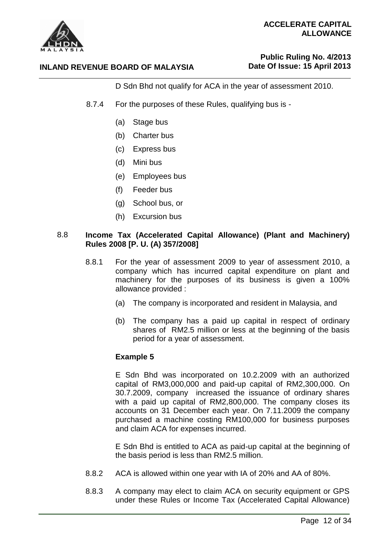

# **Public Ruling No. 4/2013 Date Of Issue: 15 April 2013**

D Sdn Bhd not qualify for ACA in the year of assessment 2010.

- 8.7.4 For the purposes of these Rules, qualifying bus is
	- (a) Stage bus
	- (b) Charter bus
	- (c) Express bus
	- (d) Mini bus
	- (e) Employees bus
	- (f) Feeder bus
	- (g) School bus, or
	- (h) Excursion bus

#### 8.8 **Income Tax (Accelerated Capital Allowance) (Plant and Machinery) Rules 2008 [P. U. (A) 357/2008]**

- 8.8.1 For the year of assessment 2009 to year of assessment 2010, a company which has incurred capital expenditure on plant and machinery for the purposes of its business is given a 100% allowance provided :
	- (a) The company is incorporated and resident in Malaysia, and
	- (b) The company has a paid up capital in respect of ordinary shares of RM2.5 million or less at the beginning of the basis period for a year of assessment.

#### **Example 5**

E Sdn Bhd was incorporated on 10.2.2009 with an authorized capital of RM3,000,000 and paid-up capital of RM2,300,000. On 30.7.2009, company increased the issuance of ordinary shares with a paid up capital of RM2,800,000. The company closes its accounts on 31 December each year. On 7.11.2009 the company purchased a machine costing RM100,000 for business purposes and claim ACA for expenses incurred.

E Sdn Bhd is entitled to ACA as paid-up capital at the beginning of the basis period is less than RM2.5 million.

- 8.8.2 ACA is allowed within one year with IA of 20% and AA of 80%.
- 8.8.3 A company may elect to claim ACA on security equipment or GPS under these Rules or Income Tax (Accelerated Capital Allowance)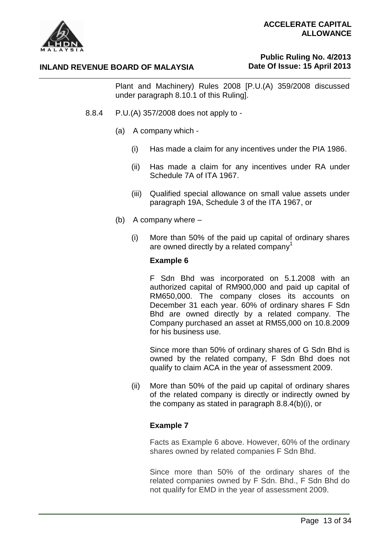

#### **INLAND REVENUE BOARD OF MALAYSIA**

# **Public Ruling No. 4/2013 Date Of Issue: 15 April 2013**

Plant and Machinery) Rules 2008 [P.U.(A) 359/2008 discussed under paragraph 8.10.1 of this Ruling].

- 8.8.4 P.U.(A) 357/2008 does not apply to
	- (a) A company which
		- (i) Has made a claim for any incentives under the PIA 1986.
		- (ii) Has made a claim for any incentives under RA under Schedule 7A of ITA 1967.
		- (iii) Qualified special allowance on small value assets under paragraph 19A, Schedule 3 of the ITA 1967, or
	- (b) A company where
		- (i) More than 50% of the paid up capital of ordinary shares are owned directly by a related company<sup>1</sup>

#### **Example 6**

F Sdn Bhd was incorporated on 5.1.2008 with an authorized capital of RM900,000 and paid up capital of RM650,000. The company closes its accounts on December 31 each year. 60% of ordinary shares F Sdn Bhd are owned directly by a related company. The Company purchased an asset at RM55,000 on 10.8.2009 for his business use.

Since more than 50% of ordinary shares of G Sdn Bhd is owned by the related company, F Sdn Bhd does not qualify to claim ACA in the year of assessment 2009.

(ii) More than 50% of the paid up capital of ordinary shares of the related company is directly or indirectly owned by the company as stated in paragraph 8.8.4(b)(i), or

#### **Example 7**

Facts as Example 6 above. However, 60% of the ordinary shares owned by related companies F Sdn Bhd.

Since more than 50% of the ordinary shares of the related companies owned by F Sdn. Bhd., F Sdn Bhd do not qualify for EMD in the year of assessment 2009.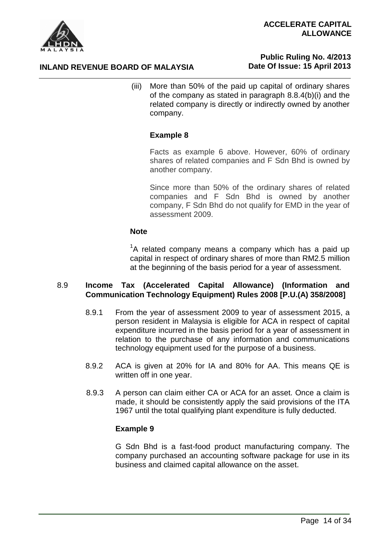



# **Public Ruling No. 4/2013 Date Of Issue: 15 April 2013**

(iii) More than 50% of the paid up capital of ordinary shares of the company as stated in paragraph 8.8.4(b)(i) and the related company is directly or indirectly owned by another company.

# **Example 8**

Facts as example 6 above. However, 60% of ordinary shares of related companies and F Sdn Bhd is owned by another company.

Since more than 50% of the ordinary shares of related companies and F Sdn Bhd is owned by another company, F Sdn Bhd do not qualify for EMD in the year of assessment 2009.

#### **Note**

 ${}^{1}$ A related company means a company which has a paid up capital in respect of ordinary shares of more than RM2.5 million at the beginning of the basis period for a year of assessment.

# 8.9 **Income Tax (Accelerated Capital Allowance) (Information and Communication Technology Equipment) Rules 2008 [P.U.(A) 358/2008]**

- 8.9.1 From the year of assessment 2009 to year of assessment 2015, a person resident in Malaysia is eligible for ACA in respect of capital expenditure incurred in the basis period for a year of assessment in relation to the purchase of any information and communications technology equipment used for the purpose of a business.
- 8.9.2 ACA is given at 20% for IA and 80% for AA. This means QE is written off in one year.
- 8.9.3 A person can claim either CA or ACA for an asset. Once a claim is made, it should be consistently apply the said provisions of the ITA 1967 until the total qualifying plant expenditure is fully deducted.

# **Example 9**

G Sdn Bhd is a fast-food product manufacturing company. The company purchased an accounting software package for use in its business and claimed capital allowance on the asset.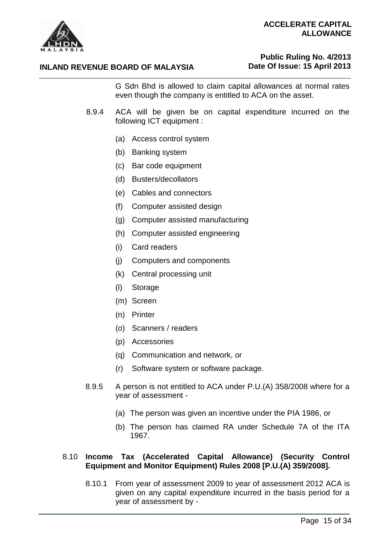

# **Public Ruling No. 4/2013 Date Of Issue: 15 April 2013**

G Sdn Bhd is allowed to claim capital allowances at normal rates even though the company is entitled to ACA on the asset.

- 8.9.4 ACA will be given be on capital expenditure incurred on the following ICT equipment :
	- (a) Access control system
	- (b) Banking system
	- (c) Bar code equipment
	- (d) Busters/decollators
	- (e) Cables and connectors
	- (f) Computer assisted design
	- (g) Computer assisted manufacturing
	- (h) Computer assisted engineering
	- (i) Card readers
	- (j) Computers and components
	- (k) Central processing unit
	- (l) Storage
	- (m) Screen
	- (n) Printer
	- (o) Scanners / readers
	- (p) Accessories
	- (q) Communication and network, or
	- (r) Software system or software package.
- 8.9.5 A person is not entitled to ACA under P.U.(A) 358/2008 where for a year of assessment -
	- (a) The person was given an incentive under the PIA 1986, or
	- (b) The person has claimed RA under Schedule 7A of the ITA 1967.

#### 8.10 **Income Tax (Accelerated Capital Allowance) (Security Control Equipment and Monitor Equipment) Rules 2008 [P.U.(A) 359/2008].**

8.10.1 From year of assessment 2009 to year of assessment 2012 ACA is given on any capital expenditure incurred in the basis period for a year of assessment by -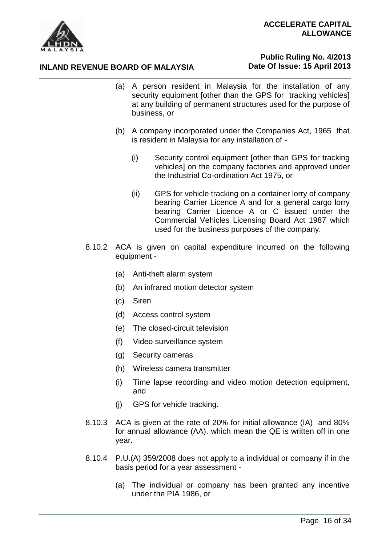

# **INLAND REVENUE BOARD OF MALAYSIA**

# **Public Ruling No. 4/2013 Date Of Issue: 15 April 2013**

- (a) A person resident in Malaysia for the installation of any security equipment [other than the GPS for tracking vehicles] at any building of permanent structures used for the purpose of business, or
- (b) A company incorporated under the Companies Act, 1965 that is resident in Malaysia for any installation of -
	- (i) Security control equipment [other than GPS for tracking vehicles] on the company factories and approved under the Industrial Co-ordination Act 1975, or
	- (ii) GPS for vehicle tracking on a container lorry of company bearing Carrier Licence A and for a general cargo lorry bearing Carrier Licence A or C issued under the Commercial Vehicles Licensing Board Act 1987 which used for the business purposes of the company.
- 8.10.2 ACA is given on capital expenditure incurred on the following equipment -
	- (a) Anti-theft alarm system
	- (b) An infrared motion detector system
	- (c) Siren
	- (d) Access control system
	- (e) The closed-circuit television
	- (f) Video surveillance system
	- (g) Security cameras
	- (h) Wireless camera transmitter
	- (i) Time lapse recording and video motion detection equipment, and
	- (j) GPS for vehicle tracking.
- 8.10.3 ACA is given at the rate of 20% for initial allowance (IA) and 80% for annual allowance (AA). which mean the QE is written off in one year.
- 8.10.4 P.U.(A) 359/2008 does not apply to a individual or company if in the basis period for a year assessment -
	- (a) The individual or company has been granted any incentive under the PIA 1986, or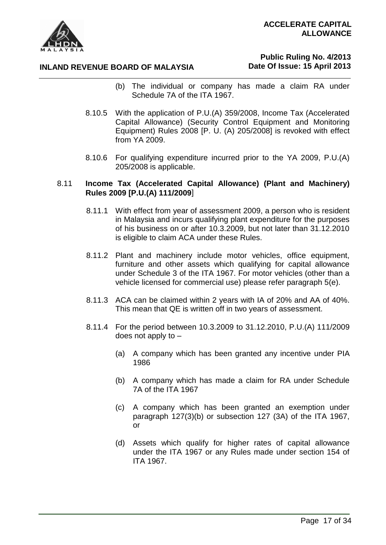

# **Public Ruling No. 4/2013 Date Of Issue: 15 April 2013**

- (b) The individual or company has made a claim RA under Schedule 7A of the ITA 1967.
- 8.10.5 With the application of P.U.(A) 359/2008, Income Tax (Accelerated Capital Allowance) (Security Control Equipment and Monitoring Equipment) Rules 2008 [P. U. (A) 205/2008] is revoked with effect from YA 2009.
- 8.10.6 For qualifying expenditure incurred prior to the YA 2009, P.U.(A) 205/2008 is applicable.

#### 8.11 **Income Tax (Accelerated Capital Allowance) (Plant and Machinery) Rules 2009 [P.U.(A) 111/2009**]

- 8.11.1 With effect from year of assessment 2009, a person who is resident in Malaysia and incurs qualifying plant expenditure for the purposes of his business on or after 10.3.2009, but not later than 31.12.2010 is eligible to claim ACA under these Rules.
- 8.11.2 Plant and machinery include motor vehicles, office equipment, furniture and other assets which qualifying for capital allowance under Schedule 3 of the ITA 1967. For motor vehicles (other than a vehicle licensed for commercial use) please refer paragraph 5(e).
- 8.11.3 ACA can be claimed within 2 years with IA of 20% and AA of 40%. This mean that QE is written off in two years of assessment.
- 8.11.4 For the period between 10.3.2009 to 31.12.2010, P.U.(A) 111/2009 does not apply to –
	- (a) A company which has been granted any incentive under PIA 1986
	- (b) A company which has made a claim for RA under Schedule 7A of the ITA 1967
	- (c) A company which has been granted an exemption under paragraph 127(3)(b) or subsection 127 (3A) of the ITA 1967, or
	- (d) Assets which qualify for higher rates of capital allowance under the ITA 1967 or any Rules made under section 154 of ITA 1967.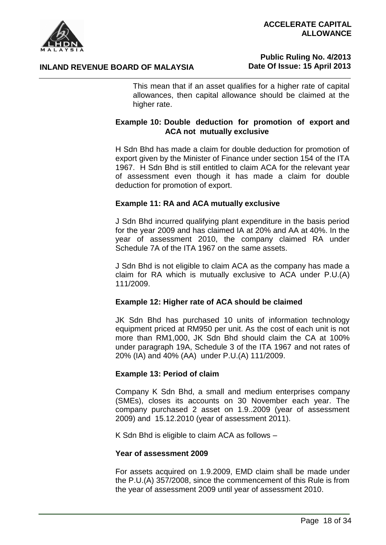



# **Public Ruling No. 4/2013 Date Of Issue: 15 April 2013**

This mean that if an asset qualifies for a higher rate of capital allowances, then capital allowance should be claimed at the higher rate.

# **Example 10: Double deduction for promotion of export and ACA not mutually exclusive**

H Sdn Bhd has made a claim for double deduction for promotion of export given by the Minister of Finance under section 154 of the ITA 1967. H Sdn Bhd is still entitled to claim ACA for the relevant year of assessment even though it has made a claim for double deduction for promotion of export.

#### **Example 11: RA and ACA mutually exclusive**

J Sdn Bhd incurred qualifying plant expenditure in the basis period for the year 2009 and has claimed IA at 20% and AA at 40%. In the year of assessment 2010, the company claimed RA under Schedule 7A of the ITA 1967 on the same assets.

J Sdn Bhd is not eligible to claim ACA as the company has made a claim for RA which is mutually exclusive to ACA under P.U.(A) 111/2009.

#### **Example 12: Higher rate of ACA should be claimed**

JK Sdn Bhd has purchased 10 units of information technology equipment priced at RM950 per unit. As the cost of each unit is not more than RM1,000, JK Sdn Bhd should claim the CA at 100% under paragraph 19A, Schedule 3 of the ITA 1967 and not rates of 20% (IA) and 40% (AA) under P.U.(A) 111/2009.

#### **Example 13: Period of claim**

Company K Sdn Bhd, a small and medium enterprises company (SMEs), closes its accounts on 30 November each year. The company purchased 2 asset on 1.9..2009 (year of assessment 2009) and 15.12.2010 (year of assessment 2011).

K Sdn Bhd is eligible to claim ACA as follows –

#### **Year of assessment 2009**

For assets acquired on 1.9.2009, EMD claim shall be made under the P.U.(A) 357/2008, since the commencement of this Rule is from the year of assessment 2009 until year of assessment 2010.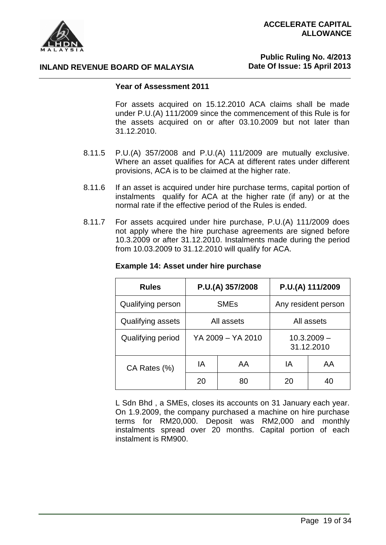

# **Public Ruling No. 4/2013 Date Of Issue: 15 April 2013**

#### **Year of Assessment 2011**

For assets acquired on 15.12.2010 ACA claims shall be made under P.U.(A) 111/2009 since the commencement of this Rule is for the assets acquired on or after 03.10.2009 but not later than 31.12.2010.

- 8.11.5 P.U.(A) 357/2008 and P.U.(A) 111/2009 are mutually exclusive. Where an asset qualifies for ACA at different rates under different provisions, ACA is to be claimed at the higher rate.
- 8.11.6 If an asset is acquired under hire purchase terms, capital portion of instalments qualify for ACA at the higher rate (if any) or at the normal rate if the effective period of the Rules is ended.
- 8.11.7 For assets acquired under hire purchase, P.U.(A) 111/2009 does not apply where the hire purchase agreements are signed before 10.3.2009 or after 31.12.2010. Instalments made during the period from 10.03.2009 to 31.12.2010 will qualify for ACA.

| <b>Rules</b>      | P.U.(A) 357/2008       |    | P.U.(A) 111/2009 |                             |
|-------------------|------------------------|----|------------------|-----------------------------|
| Qualifying person | <b>SME<sub>s</sub></b> |    |                  | Any resident person         |
| Qualifying assets | All assets             |    | All assets       |                             |
| Qualifying period | YA 2009 - YA 2010      |    |                  | $10.3.2009 -$<br>31.12.2010 |
| CA Rates (%)      | ΙA                     | AA | ΙA               | AA                          |
|                   | 20                     | 80 | 20               | 40                          |

#### **Example 14: Asset under hire purchase**

L Sdn Bhd , a SMEs, closes its accounts on 31 January each year. On 1.9.2009, the company purchased a machine on hire purchase terms for RM20,000. Deposit was RM2,000 and monthly instalments spread over 20 months. Capital portion of each instalment is RM900.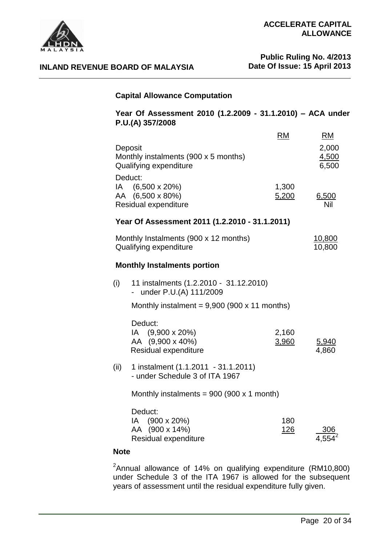

**Public Ruling No. 4/2013 Date Of Issue: 15 April 2013**

#### **Capital Allowance Computation**

#### **Year Of Assessment 2010 (1.2.2009 - 31.1.2010) – ACA under P.U.(A) 357/2008**

| Deposit<br>Monthly instalments (900 x 5 months)<br>Qualifying expenditure                       | EM             | RM<br>2,000<br>4,500<br>6,500 |
|-------------------------------------------------------------------------------------------------|----------------|-------------------------------|
| Deduct:<br>IA (6,500 x 20%)<br>AA (6,500 x 80%)<br>Residual expenditure                         | 1,300<br>5,200 | 6,500<br>Nil                  |
| Year Of Assessment 2011 (1.2.2010 - 31.1.2011)                                                  |                |                               |
| Monthly Instalments (900 x 12 months)<br>Qualifying expenditure                                 |                | 10,800<br>10,800              |
| <b>Monthly Instalments portion</b>                                                              |                |                               |
| (i)<br>11 instalments (1.2.2010 - 31.12.2010)<br>under P.U.(A) 111/2009                         |                |                               |
| Monthly instalment = $9,900$ (900 x 11 months)                                                  |                |                               |
| Deduct:<br>IA (9,900 x 20%)<br>AA (9,900 x 40%)<br>Residual expenditure                         | 2,160<br>3,960 | 5,940<br>4,860                |
| (ii)<br>1 instalment (1.1.2011 - 31.1.2011)<br>- under Schedule 3 of ITA 1967                   |                |                               |
| Monthly instalments = $900$ ( $900 \times 1$ month)                                             |                |                               |
| Deduct:<br>$(900 \times 20\%)$<br>IA l<br>AA (900 x 14%)<br>Residual expenditure<br><b>Note</b> | 180<br>126     |                               |
|                                                                                                 |                |                               |

<sup>2</sup>Annual allowance of 14% on qualifying expenditure (RM10,800) under Schedule 3 of the ITA 1967 is allowed for the subsequent years of assessment until the residual expenditure fully given.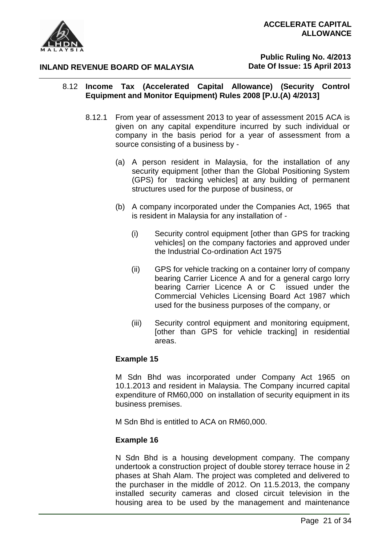

**Public Ruling No. 4/2013 Date Of Issue: 15 April 2013**

# 8.12 **Income Tax (Accelerated Capital Allowance) (Security Control Equipment and Monitor Equipment) Rules 2008 [P.U.(A) 4/2013]**

- 8.12.1 From year of assessment 2013 to year of assessment 2015 ACA is given on any capital expenditure incurred by such individual or company in the basis period for a year of assessment from a source consisting of a business by -
	- (a) A person resident in Malaysia, for the installation of any security equipment [other than the Global Positioning System (GPS) for tracking vehicles] at any building of permanent structures used for the purpose of business, or
	- (b) A company incorporated under the Companies Act, 1965 that is resident in Malaysia for any installation of -
		- (i) Security control equipment [other than GPS for tracking vehicles] on the company factories and approved under the Industrial Co-ordination Act 1975
		- (ii) GPS for vehicle tracking on a container lorry of company bearing Carrier Licence A and for a general cargo lorry bearing Carrier Licence A or C issued under the Commercial Vehicles Licensing Board Act 1987 which used for the business purposes of the company, or
		- (iii) Security control equipment and monitoring equipment, [other than GPS for vehicle tracking] in residential areas.

# **Example 15**

M Sdn Bhd was incorporated under Company Act 1965 on 10.1.2013 and resident in Malaysia. The Company incurred capital expenditure of RM60,000 on installation of security equipment in its business premises.

M Sdn Bhd is entitled to ACA on RM60,000.

# **Example 16**

N Sdn Bhd is a housing development company. The company undertook a construction project of double storey terrace house in 2 phases at Shah Alam. The project was completed and delivered to the purchaser in the middle of 2012. On 11.5.2013, the company installed security cameras and closed circuit television in the housing area to be used by the management and maintenance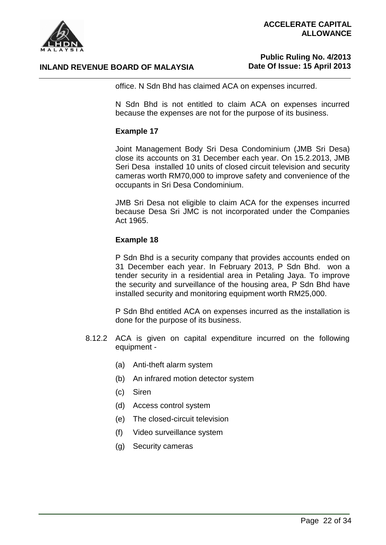

# **Public Ruling No. 4/2013 Date Of Issue: 15 April 2013**

office. N Sdn Bhd has claimed ACA on expenses incurred.

N Sdn Bhd is not entitled to claim ACA on expenses incurred because the expenses are not for the purpose of its business.

#### **Example 17**

Joint Management Body Sri Desa Condominium (JMB Sri Desa) close its accounts on 31 December each year. On 15.2.2013, JMB Seri Desa installed 10 units of closed circuit television and security cameras worth RM70,000 to improve safety and convenience of the occupants in Sri Desa Condominium.

JMB Sri Desa not eligible to claim ACA for the expenses incurred because Desa Sri JMC is not incorporated under the Companies Act 1965.

#### **Example 18**

P Sdn Bhd is a security company that provides accounts ended on 31 December each year. In February 2013, P Sdn Bhd. won a tender security in a residential area in Petaling Jaya. To improve the security and surveillance of the housing area, P Sdn Bhd have installed security and monitoring equipment worth RM25,000.

P Sdn Bhd entitled ACA on expenses incurred as the installation is done for the purpose of its business.

- 8.12.2 ACA is given on capital expenditure incurred on the following equipment -
	- (a) Anti-theft alarm system
	- (b) An infrared motion detector system
	- (c) Siren
	- (d) Access control system
	- (e) The closed-circuit television
	- (f) Video surveillance system
	- (g) Security cameras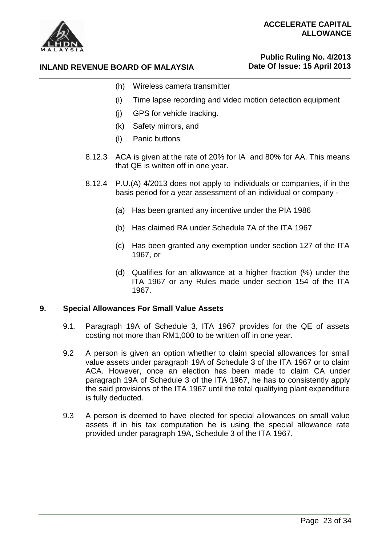

# **Public Ruling No. 4/2013 Date Of Issue: 15 April 2013**

- **INLAND REVENUE BOARD OF MALAYSIA**
	- (h) Wireless camera transmitter
	- (i) Time lapse recording and video motion detection equipment
	- (j) GPS for vehicle tracking.
	- (k) Safety mirrors, and
	- (l) Panic buttons
	- 8.12.3 ACA is given at the rate of 20% for IA and 80% for AA. This means that QE is written off in one year.
	- 8.12.4 P.U.(A) 4/2013 does not apply to individuals or companies, if in the basis period for a year assessment of an individual or company -
		- (a) Has been granted any incentive under the PIA 1986
		- (b) Has claimed RA under Schedule 7A of the ITA 1967
		- (c) Has been granted any exemption under section 127 of the ITA 1967, or
		- (d) Qualifies for an allowance at a higher fraction (%) under the ITA 1967 or any Rules made under section 154 of the ITA 1967.

# **9. Special Allowances For Small Value Assets**

- 9.1. Paragraph 19A of Schedule 3, ITA 1967 provides for the QE of assets costing not more than RM1,000 to be written off in one year.
- 9.2 A person is given an option whether to claim special allowances for small value assets under paragraph 19A of Schedule 3 of the ITA 1967 or to claim ACA. However, once an election has been made to claim CA under paragraph 19A of Schedule 3 of the ITA 1967, he has to consistently apply the said provisions of the ITA 1967 until the total qualifying plant expenditure is fully deducted.
- 9.3 A person is deemed to have elected for special allowances on small value assets if in his tax computation he is using the special allowance rate provided under paragraph 19A, Schedule 3 of the ITA 1967.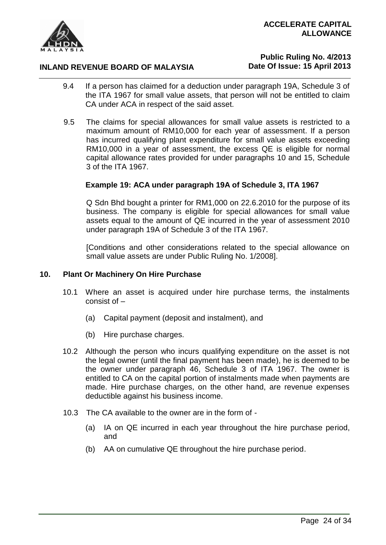

# **Public Ruling No. 4/2013 Date Of Issue: 15 April 2013**

- 9.4 If a person has claimed for a deduction under paragraph 19A, Schedule 3 of the ITA 1967 for small value assets, that person will not be entitled to claim CA under ACA in respect of the said asset.
- 9.5 The claims for special allowances for small value assets is restricted to a maximum amount of RM10,000 for each year of assessment. If a person has incurred qualifying plant expenditure for small value assets exceeding RM10,000 in a year of assessment, the excess QE is eligible for normal capital allowance rates provided for under paragraphs 10 and 15, Schedule 3 of the ITA 1967.

#### **Example 19: ACA under paragraph 19A of Schedule 3, ITA 1967**

Q Sdn Bhd bought a printer for RM1,000 on 22.6.2010 for the purpose of its business. The company is eligible for special allowances for small value assets equal to the amount of QE incurred in the year of assessment 2010 under paragraph 19A of Schedule 3 of the ITA 1967.

[Conditions and other considerations related to the special allowance on small value assets are under Public Ruling No. 1/2008].

#### **10. Plant Or Machinery On Hire Purchase**

- 10.1 Where an asset is acquired under hire purchase terms, the instalments consist of –
	- (a) Capital payment (deposit and instalment), and
	- (b) Hire purchase charges.
- 10.2 Although the person who incurs qualifying expenditure on the asset is not the legal owner (until the final payment has been made), he is deemed to be the owner under paragraph 46, Schedule 3 of ITA 1967. The owner is entitled to CA on the capital portion of instalments made when payments are made. Hire purchase charges, on the other hand, are revenue expenses deductible against his business income.
- 10.3 The CA available to the owner are in the form of
	- (a) IA on QE incurred in each year throughout the hire purchase period, and
	- (b) AA on cumulative QE throughout the hire purchase period.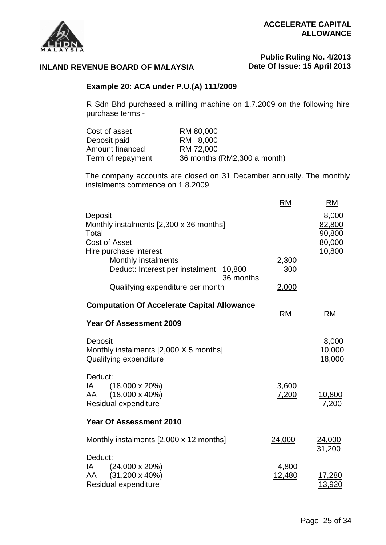



# **Public Ruling No. 4/2013 Date Of Issue: 15 April 2013**

# **INLAND REVENUE BOARD OF MALAYSIA**

#### **Example 20: ACA under P.U.(A) 111/2009**

R Sdn Bhd purchased a milling machine on 1.7.2009 on the following hire purchase terms -

| Cost of asset     | RM 80,000                   |
|-------------------|-----------------------------|
| Deposit paid      | RM 8,000                    |
| Amount financed   | RM 72,000                   |
| Term of repayment | 36 months (RM2,300 a month) |

The company accounts are closed on 31 December annually. The monthly instalments commence on 1.8.2009.

|                                                                                                        | <b>RM</b>       | <b>RM</b>                                     |
|--------------------------------------------------------------------------------------------------------|-----------------|-----------------------------------------------|
| Deposit<br>Monthly instalments [2,300 x 36 months]<br>Total<br>Cost of Asset<br>Hire purchase interest |                 | 8,000<br>82,800<br>90,800<br>80,000<br>10,800 |
| Monthly instalments<br>Deduct: Interest per instalment 10,800<br>36 months                             | 2,300<br>300    |                                               |
| Qualifying expenditure per month                                                                       | 2,000           |                                               |
| <b>Computation Of Accelerate Capital Allowance</b><br><b>Year Of Assessment 2009</b>                   | <b>RM</b>       | <b>RM</b>                                     |
| Deposit<br>Monthly instalments [2,000 X 5 months]<br>Qualifying expenditure                            |                 | 8,000<br><u>10,000</u><br>18,000              |
| Deduct:<br>$(18,000 \times 20\%)$<br>IA<br>$(18,000 \times 40\%)$<br>AA<br>Residual expenditure        | 3,600<br>7,200  | <u>10,800</u><br>7,200                        |
| <b>Year Of Assessment 2010</b>                                                                         |                 |                                               |
| Monthly instalments [2,000 x 12 months]                                                                | 24,000          | <u>24,000</u><br>31,200                       |
| Deduct:<br>$(24,000 \times 20\%)$<br>IA<br>$(31,200 \times 40\%)$<br>AA<br>Residual expenditure        | 4,800<br>12,480 | 17,280<br>13,920                              |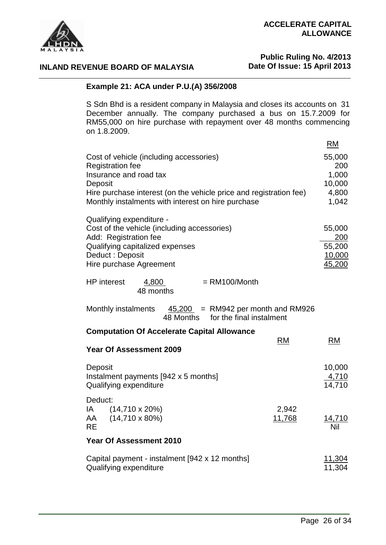



# **Public Ruling No. 4/2013 Date Of Issue: 15 April 2013**

# **INLAND REVENUE BOARD OF MALAYSIA**

# **Example 21: ACA under P.U.(A) 356/2008**

S Sdn Bhd is a resident company in Malaysia and closes its accounts on 31 December annually. The company purchased a bus on 15.7.2009 for RM55,000 on hire purchase with repayment over 48 months commencing on 1.8.2009.

|                                                                                                                                                                                                                                                                   | RM                     |
|-------------------------------------------------------------------------------------------------------------------------------------------------------------------------------------------------------------------------------------------------------------------|------------------------|
| Cost of vehicle (including accessories)<br><b>Registration fee</b>                                                                                                                                                                                                | 55,000<br>200          |
| Insurance and road tax                                                                                                                                                                                                                                            | 1,000                  |
| Deposit                                                                                                                                                                                                                                                           | 10,000                 |
| Hire purchase interest (on the vehicle price and registration fee)<br>Monthly instalments with interest on hire purchase                                                                                                                                          | 4,800<br>1,042         |
|                                                                                                                                                                                                                                                                   |                        |
| Qualifying expenditure -                                                                                                                                                                                                                                          |                        |
| Cost of the vehicle (including accessories)                                                                                                                                                                                                                       | 55,000                 |
| Add: Registration fee                                                                                                                                                                                                                                             | 200                    |
| Qualifying capitalized expenses                                                                                                                                                                                                                                   | 55,200                 |
| Deduct: Deposit<br>Hire purchase Agreement                                                                                                                                                                                                                        | 10,000<br>45,200       |
|                                                                                                                                                                                                                                                                   |                        |
| <b>HP</b> interest<br>$= RM100/Month$<br>4,800<br>48 months                                                                                                                                                                                                       |                        |
| $45,200$ = RM942 per month and RM926<br>Monthly instalments<br>48 Months for the final instalment                                                                                                                                                                 |                        |
| <b>Computation Of Accelerate Capital Allowance</b><br><b>RM</b>                                                                                                                                                                                                   | <b>RM</b>              |
| <b>Year Of Assessment 2009</b>                                                                                                                                                                                                                                    |                        |
|                                                                                                                                                                                                                                                                   |                        |
| Deposit                                                                                                                                                                                                                                                           | 10,000                 |
| Instalment payments [942 x 5 months]                                                                                                                                                                                                                              | $\frac{4,710}{14,710}$ |
| Qualifying expenditure                                                                                                                                                                                                                                            |                        |
| Deduct:                                                                                                                                                                                                                                                           |                        |
| IA and the set of the set of the set of the set of the set of the set of the set of the set of the set of the set of the set of the set of the set of the set of the set of the set of the set of the set of the set of the se<br>$(14,710 \times 20\%)$<br>2,942 |                        |
| $(14,710 \times 80\%)$<br>11,768<br>AA                                                                                                                                                                                                                            | <u>14,710</u><br>Nil   |
| <b>RE</b>                                                                                                                                                                                                                                                         |                        |
| Year Of Assessment 2010                                                                                                                                                                                                                                           |                        |
| Capital payment - instalment [942 x 12 months]                                                                                                                                                                                                                    | 11.304                 |
| Qualifying expenditure                                                                                                                                                                                                                                            | 11,304                 |
|                                                                                                                                                                                                                                                                   |                        |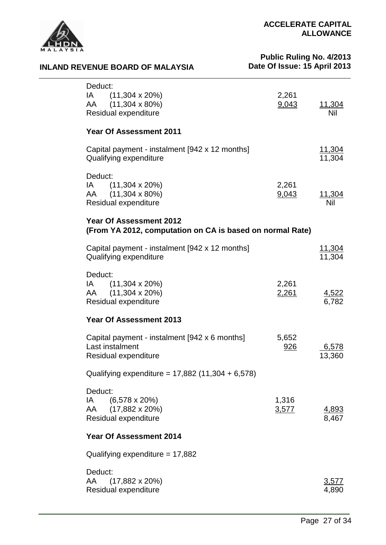

**INLAND REVENUE BOARD OF MALAYSIA**

# **Public Ruling No. 4/2013 Date Of Issue: 15 April 2013**

| Deduct:<br>$IA$ (11,304 x 20%)<br>AA (11,304 x 80%)<br>Residual expenditure                                                                                                                                                                                                                                      | 2,261<br>9,043 | <u> 11,304</u><br>Nil   |
|------------------------------------------------------------------------------------------------------------------------------------------------------------------------------------------------------------------------------------------------------------------------------------------------------------------|----------------|-------------------------|
| <b>Year Of Assessment 2011</b>                                                                                                                                                                                                                                                                                   |                |                         |
| Capital payment - instalment [942 x 12 months]<br>Qualifying expenditure                                                                                                                                                                                                                                         |                | <u>11,304</u><br>11,304 |
| Deduct:<br>$(11,304 \times 20\%)$<br>IA and the set of the set of the set of the set of the set of the set of the set of the set of the set of the set of the set of the set of the set of the set of the set of the set of the set of the set of the set of the se<br>AA (11,304 x 80%)<br>Residual expenditure | 2,261<br>9,043 | <u>11,304</u><br>Nil    |
| <b>Year Of Assessment 2012</b><br>(From YA 2012, computation on CA is based on normal Rate)                                                                                                                                                                                                                      |                |                         |
| Capital payment - instalment [942 x 12 months]<br>Qualifying expenditure                                                                                                                                                                                                                                         |                | <u>11,304</u><br>11,304 |
| Deduct:<br>$(11,304 \times 20\%)$<br>IA and the set of the set of the set of the set of the set of the set of the set of the set of the set of the set of the set of the set of the set of the set of the set of the set of the set of the set of the set of the se<br>AA (11,304 x 20%)<br>Residual expenditure | 2,261<br>2,261 | 4,522<br>6,782          |
| <b>Year Of Assessment 2013</b>                                                                                                                                                                                                                                                                                   |                |                         |
| Capital payment - instalment [942 x 6 months]<br>Last instalment<br>Residual expenditure                                                                                                                                                                                                                         | 5,652<br>926   | 6,578<br>13,360         |
| Qualifying expenditure = $17,882$ (11,304 + 6,578)                                                                                                                                                                                                                                                               |                |                         |
| Deduct:<br>$(6,578 \times 20\%)$<br>IA.<br>$(17,882 \times 20\%)$<br>AA<br>Residual expenditure                                                                                                                                                                                                                  | 1,316<br>3,577 | <u>4,893</u><br>8,467   |
| <b>Year Of Assessment 2014</b>                                                                                                                                                                                                                                                                                   |                |                         |
| Qualifying expenditure = $17,882$                                                                                                                                                                                                                                                                                |                |                         |
| Deduct:<br>AA<br>$(17,882 \times 20\%)$<br>Residual expenditure                                                                                                                                                                                                                                                  |                | 3,577<br>4,890          |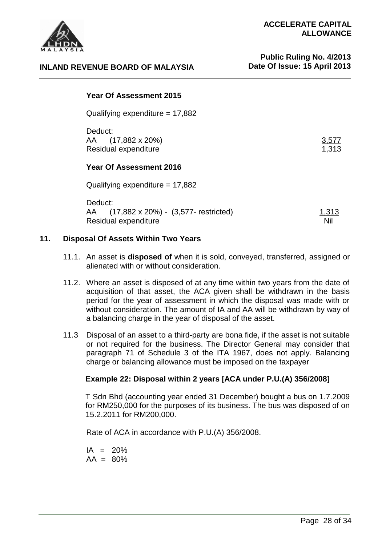

#### **Year Of Assessment 2015**

Qualifying expenditure = 17,882

Deduct: AA (17,882 x 20%) 3,577 Residual expenditure

#### **Year Of Assessment 2016**

Qualifying expenditure  $= 17,882$ 

| Deduct:                                 |              |
|-----------------------------------------|--------------|
| AA (17,882 x 20%) - (3,577- restricted) | <u>1,313</u> |
| Residual expenditure                    | ∐∐           |

#### **11. Disposal Of Assets Within Two Years**

- 11.1. An asset is **disposed of** when it is sold, conveyed, transferred, assigned or alienated with or without consideration.
- 11.2. Where an asset is disposed of at any time within two years from the date of acquisition of that asset, the ACA given shall be withdrawn in the basis period for the year of assessment in which the disposal was made with or without consideration. The amount of IA and AA will be withdrawn by way of a balancing charge in the year of disposal of the asset.
- 11.3 Disposal of an asset to a third-party are bona fide, if the asset is not suitable or not required for the business. The Director General may consider that paragraph 71 of Schedule 3 of the ITA 1967, does not apply. Balancing charge or balancing allowance must be imposed on the taxpayer

# **Example 22: Disposal within 2 years [ACA under P.U.(A) 356/2008]**

T Sdn Bhd (accounting year ended 31 December) bought a bus on 1.7.2009 for RM250,000 for the purposes of its business. The bus was disposed of on 15.2.2011 for RM200,000.

Rate of ACA in accordance with P.U.(A) 356/2008.

 $IA = 20%$  $AA = 80%$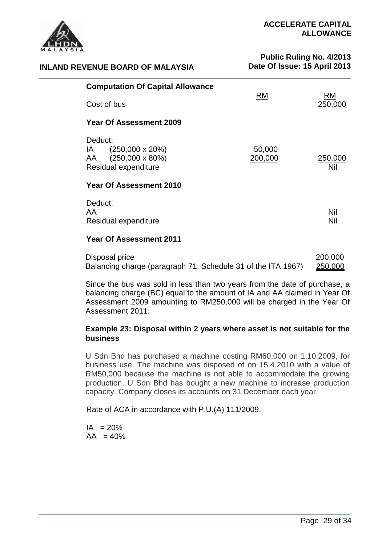

# **Public Ruling No. 4/2013 Date Of Issue: 15 April 2013**

| <b>Computation Of Capital Allowance</b>                                                            | <b>RM</b>         | RM             |
|----------------------------------------------------------------------------------------------------|-------------------|----------------|
| Cost of bus                                                                                        |                   | 250,000        |
| <b>Year Of Assessment 2009</b>                                                                     |                   |                |
| Deduct:<br>$(250,000 \times 20\%)$<br>IA.<br>$(250,000 \times 80\%)$<br>AA<br>Residual expenditure | 50,000<br>200,000 | 250,000<br>Nil |
| Year Of Assessment 2010                                                                            |                   |                |
| Deduct:<br>AA<br>Residual expenditure                                                              |                   | Nil<br>Nil     |
| <b>Year Of Assessment 2011</b>                                                                     |                   |                |

| Disposal price                                               | 200,000 |
|--------------------------------------------------------------|---------|
| Balancing charge (paragraph 71, Schedule 31 of the ITA 1967) | 250,000 |

Since the bus was sold in less than two years from the date of purchase, a balancing charge (BC) equal to the amount of IA and AA claimed in Year Of Assessment 2009 amounting to RM250,000 will be charged in the Year Of Assessment 2011.

# **Example 23: Disposal within 2 years where asset is not suitable for the business**

U Sdn Bhd has purchased a machine costing RM60,000 on 1.10.2009, for business use. The machine was disposed of on 15.4.2010 with a value of RM50,000 because the machine is not able to accommodate the growing production. U Sdn Bhd has bought a new machine to increase production capacity. Company closes its accounts on 31 December each year.

Rate of ACA in accordance with P.U.(A) 111/2009.

 $IA = 20%$  $AA = 40%$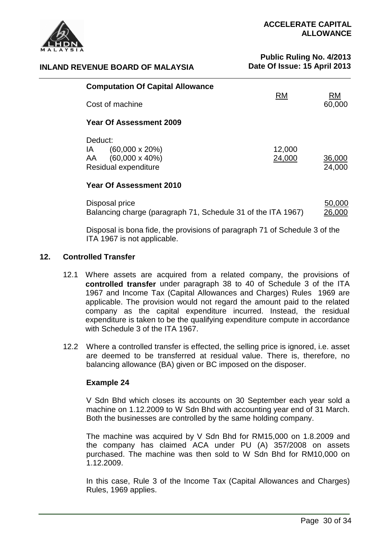

# **Public Ruling No. 4/2013 Date Of Issue: 15 April 2013**

|         | <b>Computation Of Capital Allowance</b> |           |              |
|---------|-----------------------------------------|-----------|--------------|
|         | Cost of machine                         | <b>RM</b> | RM<br>60,000 |
|         | Year Of Assessment 2009                 |           |              |
| Deduct: |                                         |           |              |
| IA.     | $(60,000 \times 20\%)$                  | 12,000    |              |
| AA      | $(60,000 \times 40\%)$                  | 24,000    | 36,000       |
|         | Residual expenditure                    |           | 24,000       |

| Disposal price                                               | 50,000 |
|--------------------------------------------------------------|--------|
| Balancing charge (paragraph 71, Schedule 31 of the ITA 1967) | 26,000 |

Disposal is bona fide, the provisions of paragraph 71 of Schedule 3 of the ITA 1967 is not applicable.

# **12. Controlled Transfer**

- 12.1 Where assets are acquired from a related company, the provisions of **controlled transfer** under paragraph 38 to 40 of Schedule 3 of the ITA 1967 and Income Tax (Capital Allowances and Charges) Rules 1969 are applicable. The provision would not regard the amount paid to the related company as the capital expenditure incurred. Instead, the residual expenditure is taken to be the qualifying expenditure compute in accordance with Schedule 3 of the ITA 1967.
- 12.2 Where a controlled transfer is effected, the selling price is ignored, i.e. asset are deemed to be transferred at residual value. There is, therefore, no balancing allowance (BA) given or BC imposed on the disposer.

# **Example 24**

V Sdn Bhd which closes its accounts on 30 September each year sold a machine on 1.12.2009 to W Sdn Bhd with accounting year end of 31 March. Both the businesses are controlled by the same holding company.

The machine was acquired by V Sdn Bhd for RM15,000 on 1.8.2009 and the company has claimed ACA under PU (A) 357/2008 on assets purchased. The machine was then sold to W Sdn Bhd for RM10,000 on 1.12.2009.

In this case, Rule 3 of the Income Tax (Capital Allowances and Charges) Rules, 1969 applies.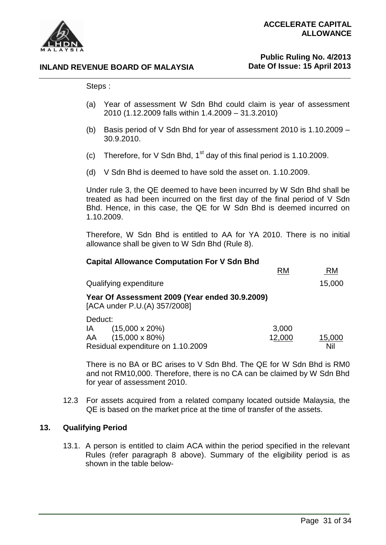

# **Public Ruling No. 4/2013 Date Of Issue: 15 April 2013**

Steps :

- (a) Year of assessment W Sdn Bhd could claim is year of assessment 2010 (1.12.2009 falls within 1.4.2009 – 31.3.2010)
- (b) Basis period of V Sdn Bhd for year of assessment 2010 is 1.10.2009 30.9.2010.
- (c) Therefore, for V Sdn Bhd,  $1<sup>st</sup>$  day of this final period is 1.10.2009.
- (d) V Sdn Bhd is deemed to have sold the asset on. 1.10.2009.

Under rule 3, the QE deemed to have been incurred by W Sdn Bhd shall be treated as had been incurred on the first day of the final period of V Sdn Bhd. Hence, in this case, the QE for W Sdn Bhd is deemed incurred on 1.10.2009.

Therefore, W Sdn Bhd is entitled to AA for YA 2010. There is no initial allowance shall be given to W Sdn Bhd (Rule 8).

| <b>Capital Allowance Computation For V Sdn Bhd</b>                                                             |                 |               |  |
|----------------------------------------------------------------------------------------------------------------|-----------------|---------------|--|
|                                                                                                                | <b>RM</b>       | <b>RM</b>     |  |
| Qualifying expenditure                                                                                         |                 | 15,000        |  |
| Year Of Assessment 2009 (Year ended 30.9.2009)<br>[ACA under P.U.(A) 357/2008]                                 |                 |               |  |
| Deduct:<br>$(15,000 \times 20\%)$<br>IA I<br>$(15,000 \times 80\%)$<br>AA<br>Residual expenditure on 1.10.2009 | 3,000<br>12,000 | 15,000<br>Nil |  |

There is no BA or BC arises to V Sdn Bhd. The QE for W Sdn Bhd is RM0 and not RM10,000. Therefore, there is no CA can be claimed by W Sdn Bhd for year of assessment 2010.

12.3 For assets acquired from a related company located outside Malaysia, the QE is based on the market price at the time of transfer of the assets.

# **13. Qualifying Period**

13.1. A person is entitled to claim ACA within the period specified in the relevant Rules (refer paragraph 8 above). Summary of the eligibility period is as shown in the table below-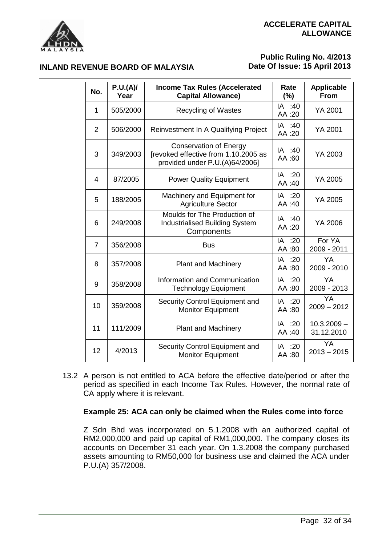

**INLAND REVENUE BOARD OF MALAYSIA**

# **Public Ruling No. 4/2013 Date Of Issue: 15 April 2013**

| No.            | P.U.(A)<br>Year | <b>Income Tax Rules (Accelerated</b><br><b>Capital Allowance)</b>                                       | Rate<br>$(\%)$   | <b>Applicable</b><br><b>From</b> |
|----------------|-----------------|---------------------------------------------------------------------------------------------------------|------------------|----------------------------------|
| 1              | 505/2000        | <b>Recycling of Wastes</b>                                                                              | IA :40<br>AA:20  | YA 2001                          |
| $\overline{2}$ | 506/2000        | Reinvestment In A Qualifying Project                                                                    | IA :40<br>AA:20  | YA 2001                          |
| 3              | 349/2003        | <b>Conservation of Energy</b><br>[revoked effective from 1.10.2005 as<br>provided under P.U.(A)64/2006] | IA :40<br>AA:60  | YA 2003                          |
| 4              | 87/2005         | <b>Power Quality Equipment</b>                                                                          | IA :20<br>AA:40  | YA 2005                          |
| 5              | 188/2005        | Machinery and Equipment for<br><b>Agriculture Sector</b>                                                | IA :20<br>AA:40  | YA 2005                          |
| 6              | 249/2008        | Moulds for The Production of<br><b>Industrialised Building System</b><br>Components                     | IA :40<br>AA:20  | YA 2006                          |
| $\overline{7}$ | 356/2008        | <b>Bus</b>                                                                                              | IA :20<br>AA:80  | For YA<br>2009 - 2011            |
| 8              | 357/2008        | <b>Plant and Machinery</b>                                                                              | IA :20<br>AA:80  | YA<br>2009 - 2010                |
| 9              | 358/2008        | Information and Communication<br><b>Technology Equipment</b>                                            | IA :20<br>AA:80  | YA<br>2009 - 2013                |
| 10             | 359/2008        | Security Control Equipment and<br><b>Monitor Equipment</b>                                              | IA :20<br>AA:80  | YA<br>$2009 - 2012$              |
| 11             | 111/2009        | <b>Plant and Machinery</b>                                                                              | IA :20<br>AA:40  | $10.3.2009 -$<br>31.12.2010      |
| 12             | 4/2013          | Security Control Equipment and<br><b>Monitor Equipment</b>                                              | IA :20<br>80: AA | YA<br>$2013 - 2015$              |

13.2 A person is not entitled to ACA before the effective date/period or after the period as specified in each Income Tax Rules. However, the normal rate of CA apply where it is relevant.

# **Example 25: ACA can only be claimed when the Rules come into force**

Z Sdn Bhd was incorporated on 5.1.2008 with an authorized capital of RM2,000,000 and paid up capital of RM1,000,000. The company closes its accounts on December 31 each year. On 1.3.2008 the company purchased assets amounting to RM50,000 for business use and claimed the ACA under P.U.(A) 357/2008.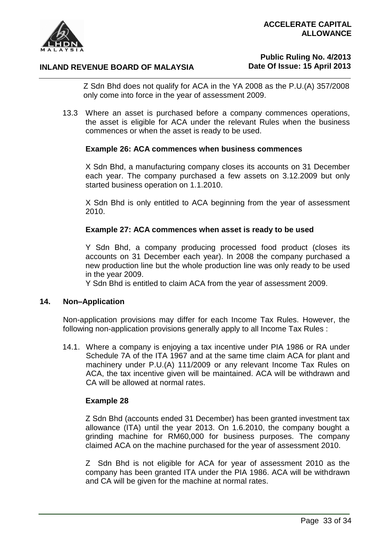

# **Public Ruling No. 4/2013 Date Of Issue: 15 April 2013**

Z Sdn Bhd does not qualify for ACA in the YA 2008 as the P.U.(A) 357/2008 only come into force in the year of assessment 2009.

13.3 Where an asset is purchased before a company commences operations, the asset is eligible for ACA under the relevant Rules when the business commences or when the asset is ready to be used.

#### **Example 26: ACA commences when business commences**

X Sdn Bhd, a manufacturing company closes its accounts on 31 December each year. The company purchased a few assets on 3.12.2009 but only started business operation on 1.1.2010.

X Sdn Bhd is only entitled to ACA beginning from the year of assessment 2010.

#### **Example 27: ACA commences when asset is ready to be used**

Y Sdn Bhd, a company producing processed food product (closes its accounts on 31 December each year). In 2008 the company purchased a new production line but the whole production line was only ready to be used in the year 2009.

Y Sdn Bhd is entitled to claim ACA from the year of assessment 2009.

#### **14. Non–Application**

Non-application provisions may differ for each Income Tax Rules. However, the following non-application provisions generally apply to all Income Tax Rules :

14.1. Where a company is enjoying a tax incentive under PIA 1986 or RA under Schedule 7A of the ITA 1967 and at the same time claim ACA for plant and machinery under P.U.(A) 111/2009 or any relevant Income Tax Rules on ACA, the tax incentive given will be maintained. ACA will be withdrawn and CA will be allowed at normal rates.

#### **Example 28**

Z Sdn Bhd (accounts ended 31 December) has been granted investment tax allowance (ITA) until the year 2013. On 1.6.2010, the company bought a grinding machine for RM60,000 for business purposes. The company claimed ACA on the machine purchased for the year of assessment 2010.

Z Sdn Bhd is not eligible for ACA for year of assessment 2010 as the company has been granted ITA under the PIA 1986. ACA will be withdrawn and CA will be given for the machine at normal rates.